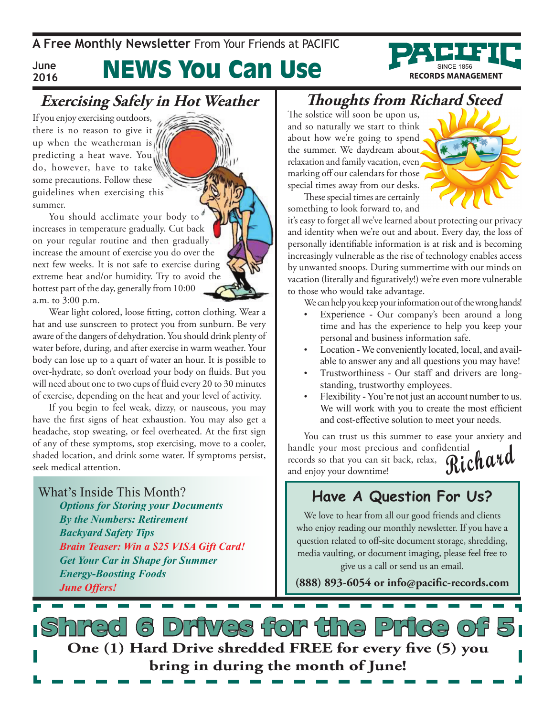**A Free Monthly Newsletter** From Your Friends at Pacific

**June 2016**

## News You Can Use

### **Exercising Safely in Hot Weather**

If you enjoy exercising outdoors, there is no reason to give it up when the weatherman is  $\frac{1}{2}$ predicting a heat wave. You do, however, have to take some precautions. Follow these guidelines when exercising this summer.

You should acclimate your body to increases in temperature gradually. Cut back on your regular routine and then gradually increase the amount of exercise you do over the next few weeks. It is not safe to exercise during extreme heat and/or humidity. Try to avoid the hottest part of the day, generally from 10:00 a.m. to 3:00 p.m.

Wear light colored, loose fitting, cotton clothing. Wear a hat and use sunscreen to protect you from sunburn. Be very aware of the dangers of dehydration. You should drink plenty of water before, during, and after exercise in warm weather. Your body can lose up to a quart of water an hour. It is possible to over-hydrate, so don't overload your body on fluids. But you will need about one to two cups of fluid every 20 to 30 minutes of exercise, depending on the heat and your level of activity.

If you begin to feel weak, dizzy, or nauseous, you may have the first signs of heat exhaustion. You may also get a headache, stop sweating, or feel overheated. At the first sign of any of these symptoms, stop exercising, move to a cooler, shaded location, and drink some water. If symptoms persist, seek medical attention.

What's Inside This Month? *Options for Storing your Documents By the Numbers: Retirement Backyard Safety Tips Brain Teaser: Win a \$25 VISA Gift Card! Get Your Car in Shape for Summer Energy-Boosting Foods June Offers!*

### **Thoughts from Richard Steed**

The solstice will soon be upon us, and so naturally we start to think about how we're going to spend the summer. We daydream about relaxation and family vacation, even marking off our calendars for those special times away from our desks.

These special times are certainly something to look forward to, and



**RECORDS MANAGEMENT** 

it's easy to forget all we've learned about protecting our privacy and identity when we're out and about. Every day, the loss of personally identifiable information is at risk and is becoming increasingly vulnerable as the rise of technology enables access by unwanted snoops. During summertime with our minds on vacation (literally and figuratively!) we're even more vulnerable to those who would take advantage.

We can help you keep your information out of the wrong hands!

- Experience Our company's been around a long time and has the experience to help you keep your personal and business information safe.
- Location We conveniently located, local, and available to answer any and all questions you may have!
- Trustworthiness Our staff and drivers are longstanding, trustworthy employees.
- Flexibility You're not just an account number to us. We will work with you to create the most efficient and cost-effective solution to meet your needs.

**Richard** You can trust us this summer to ease your anxiety and handle your most precious and confidential records so that you can sit back, relax, and enjoy your downtime!

#### **Have A Question For Us?**

We love to hear from all our good friends and clients who enjoy reading our monthly newsletter. If you have a question related to off-site document storage, shredding, media vaulting, or document imaging, please feel free to give us a call or send us an email.

**(888) 893-6054 or info@pacific-records.com**

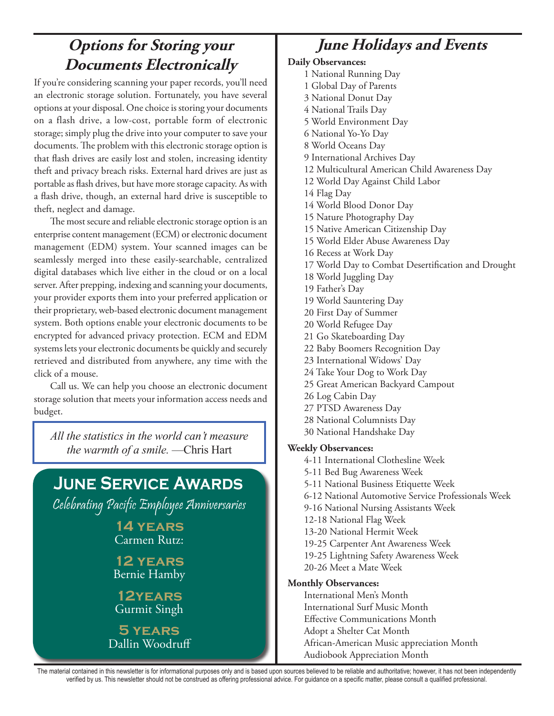### **Options for Storing your Documents Electronically**

If you're considering scanning your paper records, you'll need an electronic storage solution. Fortunately, you have several options at your disposal. One choice is storing your documents on a flash drive, a low-cost, portable form of electronic storage; simply plug the drive into your computer to save your documents. The problem with this electronic storage option is that flash drives are easily lost and stolen, increasing identity theft and privacy breach risks. External hard drives are just as portable as flash drives, but have more storage capacity. As with a flash drive, though, an external hard drive is susceptible to theft, neglect and damage.

The most secure and reliable electronic storage option is an enterprise content management (ECM) or electronic document management (EDM) system. Your scanned images can be seamlessly merged into these easily-searchable, centralized digital databases which live either in the cloud or on a local server. After prepping, indexing and scanning your documents, your provider exports them into your preferred application or their proprietary, web-based electronic document management system. Both options enable your electronic documents to be encrypted for advanced privacy protection. ECM and EDM systems lets your electronic documents be quickly and securely retrieved and distributed from anywhere, any time with the click of a mouse.

Call us. We can help you choose an electronic document storage solution that meets your information access needs and budget.

*All the statistics in the world can't measure the warmth of a smile.* —Chris Hart

## **June Service Awards** Celebrating Pacific Employee Anniversaries **14 years** Carmen Rutz: **12 years** Bernie Hamby **12years** Gurmit Singh **5 years** Dallin Woodruff

## **June Holidays and Events**

#### **Daily Observances:**

1 National Running Day 1 Global Day of Parents 3 National Donut Day 4 National Trails Day 5 World Environment Day 6 National Yo-Yo Day 8 World Oceans Day 9 International Archives Day 12 Multicultural American Child Awareness Day 12 World Day Against Child Labor 14 Flag Day 14 World Blood Donor Day 15 Nature Photography Day 15 Native American Citizenship Day 15 World Elder Abuse Awareness Day 16 Recess at Work Day 17 World Day to Combat Desertification and Drought 18 World Juggling Day 19 Father's Day 19 World Sauntering Day 20 First Day of Summer 20 World Refugee Day 21 Go Skateboarding Day 22 Baby Boomers Recognition Day 23 International Widows' Day 24 Take Your Dog to Work Day 25 Great American Backyard Campout 26 Log Cabin Day 27 PTSD Awareness Day 28 National Columnists Day 30 National Handshake Day **Weekly Observances:** 4-11 International Clothesline Week 5-11 Bed Bug Awareness Week 5-11 National Business Etiquette Week 6-12 National Automotive Service Professionals Week 9-16 National Nursing Assistants Week 12-18 National Flag Week 13-20 National Hermit Week 19-25 Carpenter Ant Awareness Week 19-25 Lightning Safety Awareness Week 20-26 Meet a Mate Week **Monthly Observances:** International Men's Month International Surf Music Month Effective Communications Month

Adopt a Shelter Cat Month

African-American Music appreciation Month

Audiobook Appreciation Month

The material contained in this newsletter is for informational purposes only and is based upon sources believed to be reliable and authoritative; however, it has not been independently verified by us. This newsletter should not be construed as offering professional advice. For guidance on a specific matter, please consult a qualified professional.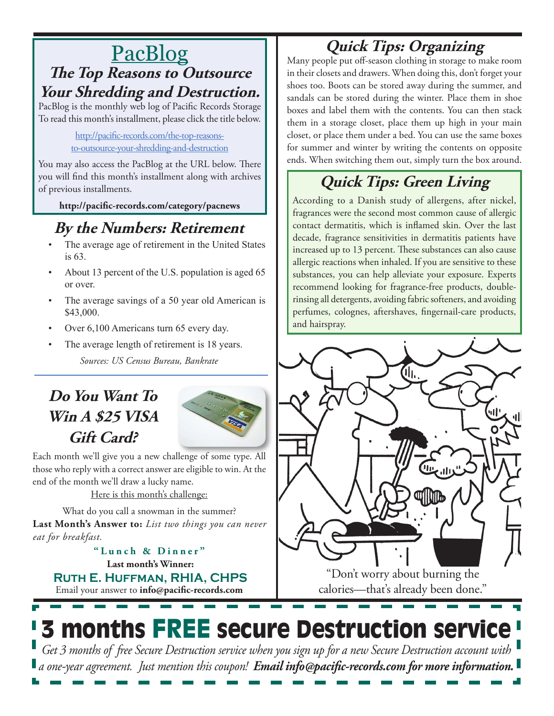## PacBlog **The Top Reasons to Outsource**

**Your Shredding and Destruction.**

PacBlog is the monthly web log of Pacific Records Storage To read this month's installment, please click the title below.

> [http://pacific-records.com/the-top-reasons](http://pacific-records.com/the-top-reasons-to-outsource-your-shredding-and-destruction)[to-outsource-your-shredding-and-destruction](http://pacific-records.com/the-top-reasons-to-outsource-your-shredding-and-destruction)

You may also access the PacBlog at the URL below. There you will find this month's installment along with archives of previous installments.

**http://pacific-records.com/category/pacnews**

## **By the Numbers: Retirement**

- The average age of retirement in the United States is 63.
- About 13 percent of the U.S. population is aged 65 or over.
- The average savings of a 50 year old American is \$43,000.
- Over 6,100 Americans turn 65 every day.
- The average length of retirement is 18 years.

*Sources: US Census Bureau, Bankrate*

## **Do You Want To Win A \$25 VISA Gift Card?**



Each month we'll give you a new challenge of some type. All those who reply with a correct answer are eligible to win. At the end of the month we'll draw a lucky name.

Here is this month's challenge:

What do you call a snowman in the summer? **Last Month's Answer to:** *List two things you can never eat for breakfast.*

Email your answer to **info@pacific-records.com Last month's Winner: Ruth E. Huffman, RHIA, CHPS "Lunch & Dinner"**

## **Quick Tips: Organizing**

Many people put off-season clothing in storage to make room in their closets and drawers. When doing this, don't forget your shoes too. Boots can be stored away during the summer, and sandals can be stored during the winter. Place them in shoe boxes and label them with the contents. You can then stack them in a storage closet, place them up high in your main closet, or place them under a bed. You can use the same boxes for summer and winter by writing the contents on opposite ends. When switching them out, simply turn the box around.

## **Quick Tips: Green Living**

According to a Danish study of allergens, after nickel, fragrances were the second most common cause of allergic contact dermatitis, which is inflamed skin. Over the last decade, fragrance sensitivities in dermatitis patients have increased up to 13 percent. These substances can also cause allergic reactions when inhaled. If you are sensitive to these substances, you can help alleviate your exposure. Experts recommend looking for fragrance-free products, doublerinsing all detergents, avoiding fabric softeners, and avoiding perfumes, colognes, aftershaves, fingernail-care products, and hairspray.



calories—that's already been done."

# 3 months FREE secure Destruction service

*Get 3 months of free Secure Destruction service when you sign up for a new Secure Destruction account with a one-year agreement. Just mention this coupon! Email info@pacific-records.com for more information.*